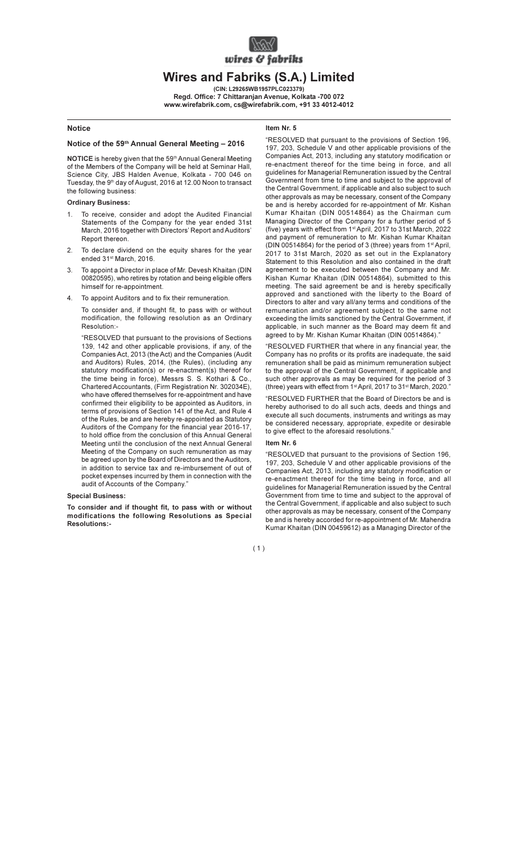

# **Wires and Fabriks (S.A.) Limited**

(CIN: L29265WB1957PLC023379) Read, Office: 7 Chittaranian Avenue, Kolkata -700 072 www.wirefabrik.com, cs@wirefabrik.com, +91 33 4012-4012

#### **Notice**

#### Notice of the 59th Annual General Meeting - 2016

NOTICE is hereby given that the 59th Annual General Meeting of the Members of the Company will be held at Seminar Hall, Science City, JBS Halden Avenue, Kolkata - 700 046 on Tuesday, the 9<sup>th</sup> day of August, 2016 at 12,00 Noon to transact the following business:

#### **Ordinary Business:**

- To receive, consider and adopt the Audited Financial  $1$ Statements of the Company for the year ended 31st March, 2016 together with Directors' Report and Auditors' Report thereon.
- To declare dividend on the equity shares for the year  $\mathcal{P}$ ended 31<sup>st</sup> March, 2016.
- To appoint a Director in place of Mr. Devesh Khaitan (DIN  $3<sub>1</sub>$ 00820595), who retires by rotation and being eligible offers himself for re-appointment.
- 4. To appoint Auditors and to fix their remuneration.

To consider and, if thought fit, to pass with or without modification, the following resolution as an Ordinary Resolution-

"RESOLVED that pursuant to the provisions of Sections 139, 142 and other applicable provisions, if any, of the Companies Act. 2013 (the Act) and the Companies (Audit and Auditors) Rules, 2014, (the Rules), (including any statutory modification(s) or re-enactment(s) thereof for the time being in force). Messrs S. S. Kothari & Co., Chartered Accountants, (Firm Registration Nr. 302034E), who have offered themselves for re-appointment and have confirmed their eligibility to be appointed as Auditors, in terms of provisions of Section 141 of the Act, and Rule 4 of the Rules, be and are hereby re-appointed as Statutory Auditors of the Company for the financial year 2016-17. to hold office from the conclusion of this Annual General Meeting until the conclusion of the next Annual General Meeting of the Company on such remuneration as may be agreed upon by the Board of Directors and the Auditors. in addition to service tax and re-imbursement of out of pocket expenses incurred by them in connection with the audit of Accounts of the Company."

#### **Special Business:**

To consider and if thought fit, to pass with or without modifications the following Resolutions as Special Resolutions -

#### Item Nr. 5

"RESOLVED that pursuant to the provisions of Section 196. 197, 203, Schedule V and other applicable provisions of the Companies Act, 2013, including any statutory modification or re-enactment thereof for the time being in force, and all guidelines for Managerial Remuneration issued by the Central Government from time to time and subiect to the approval of the Central Government, if applicable and also subject to such other approvals as may be necessary, consent of the Company be and is hereby accorded for re-appointment of Mr. Kishan Kumar Khaitan (DIN 00514864) as the Chairman cum Managing Director of the Company for a further period of 5 (five) years with effect from 1<sup>st</sup> April, 2017 to 31st March, 2022 and payment of remuneration to Mr. Kishan Kumar Khaitan (DIN 00514864) for the period of 3 (three) years from 1<sup>st</sup> April, 2017 to 31st March, 2020 as set out in the Explanatory Statement to this Resolution and also contained in the draft agreement to be executed between the Company and Mr. Kishan Kumar Khaitan (DIN 00514864), submitted to this meeting. The said agreement be and is hereby specifically approved and sanctioned with the liberty to the Board of Directors to alter and vary all/any terms and conditions of the remuneration and/or agreement subject to the same not exceeding the limits sanctioned by the Central Government, if applicable, in such manner as the Board may deem fit and agreed to by Mr. Kishan Kumar Khaitan (DIN 00514864)."

"RESOLVED FURTHER that where in any financial year, the Company has no profits or its profits are inadequate, the said remuneration shall be paid as minimum remuneration subject to the approval of the Central Government, if applicable and such other approvals as may be required for the period of 3 (three) years with effect from 1<sup>st</sup> April, 2017 to 31<sup>st</sup> March, 2020."

"RESOLVED FURTHER that the Board of Directors be and is hereby authorised to do all such acts, deeds and things and execute all such documents, instruments and writings as may be considered necessary, appropriate, expedite or desirable to give effect to the aforesaid resolutions."

### Item Nr. 6

"RESOLVED that pursuant to the provisions of Section 196, 197, 203. Schedule V and other applicable provisions of the Companies Act, 2013, including any statutory modification or re-enactment thereof for the time being in force, and all quidelines for Managerial Remuneration issued by the Central Government from time to time and subject to the approval of the Central Government, if applicable and also subject to such other approvals as may be necessary, consent of the Company be and is hereby accorded for re-appointment of Mr. Mahendra Kumar Khaitan (DIN 00459612) as a Managing Director of the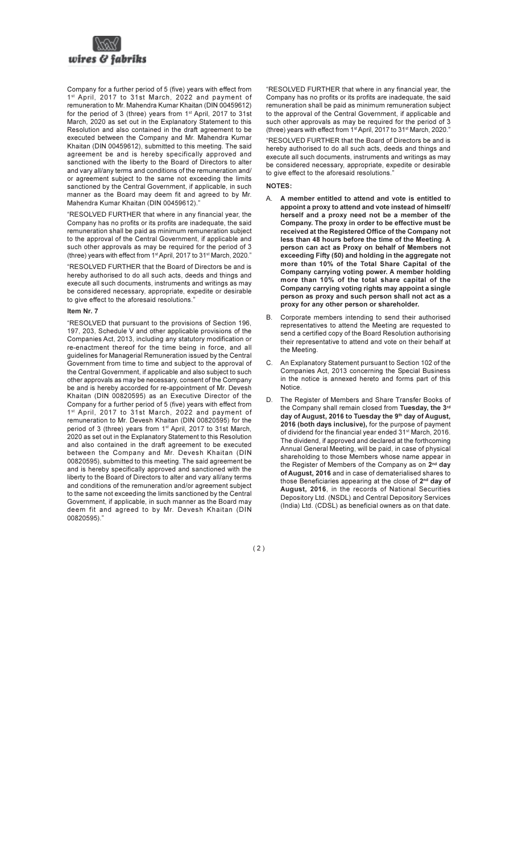

Company for a further period of 5 (five) years with effect from 1st April, 2017 to 31st March, 2022 and payment of remuneration to Mr. Mahendra Kumar Khaitan (DIN 00459612) for the period of 3 (three) years from 1<sup>st</sup> April, 2017 to 31st March, 2020 as set out in the Explanatory Statement to this Resolution and also contained in the draft agreement to be executed between the Company and Mr. Mahendra Kumar Khaitan (DIN 00459612), submitted to this meeting. The said agreement be and is hereby specifically approved and sanctioned with the liberty to the Board of Directors to alter and vary all/any terms and conditions of the remuneration and/ or agreement subject to the same not exceeding the limits sanctioned by the Central Government, if applicable, in such manner as the Board may deem fit and agreed to by Mr. Mahendra Kumar Khaitan (DIN 00459612)."

"RESOLVED FURTHER that where in any financial year, the Company has no profits or its profits are inadequate, the said remuneration shall be paid as minimum remuneration subject to the approval of the Central Government, if applicable and such other approvals as may be required for the period of 3 (three) years with effect from 1<sup>st</sup> April, 2017 to 31<sup>st</sup> March, 2020."

"RESOLVED FURTHER that the Board of Directors be and is hereby authorised to do all such acts, deeds and things and execute all such documents, instruments and writings as may be considered necessary, appropriate, expedite or desirable to give effect to the aforesaid resolutions."

#### Item Nr. 7

"RESOLVED that pursuant to the provisions of Section 196. 197, 203. Schedule V and other applicable provisions of the Companies Act, 2013, including any statutory modification or re-enactment thereof for the time being in force, and all guidelines for Managerial Remuneration issued by the Central Government from time to time and subject to the approval of the Central Government, if applicable and also subject to such other approvals as may be necessary, consent of the Company be and is hereby accorded for re-appointment of Mr. Devesh Khaitan (DIN 00820595) as an Executive Director of the Company for a further period of 5 (five) years with effect from 1st April, 2017 to 31st March, 2022 and payment of remuneration to Mr. Devesh Khaitan (DIN 00820595) for the period of 3 (three) years from 1<sup>st</sup> April, 2017 to 31st March, 2020 as set out in the Explanatory Statement to this Resolution and also contained in the draft agreement to be executed between the Company and Mr. Devesh Khaitan (DIN 00820595), submitted to this meeting. The said agreement be and is hereby specifically approved and sanctioned with the liberty to the Board of Directors to alter and vary all/any terms and conditions of the remuneration and/or agreement subject to the same not exceeding the limits sanctioned by the Central Government, if applicable, in such manner as the Board may deem fit and agreed to by Mr. Devesh Khaitan (DIN 00820595)."

"RESOLVED FURTHER that where in any financial year, the Company has no profits or its profits are inadequate, the said remuneration shall be paid as minimum remuneration subject to the approval of the Central Government, if applicable and such other approvals as may be required for the period of 3 (three) years with effect from 1<sup>st</sup> April, 2017 to 31<sup>st</sup> March, 2020."

"RESOLVED FURTHER that the Board of Directors be and is hereby authorised to do all such acts, deeds and things and execute all such documents, instruments and writings as may be considered necessary, appropriate, expedite or desirable to give effect to the aforesaid resolutions."

#### **NOTES:**

- A. A member entitled to attend and vote is entitled to appoint a proxy to attend and vote instead of himself/ herself and a proxy need not be a member of the Company. The proxy in order to be effective must be received at the Registered Office of the Company not less than 48 hours before the time of the Meeting. A person can act as Proxy on behalf of Members not exceeding Fifty (50) and holding in the aggregate not more than 10% of the Total Share Capital of the Company carrying voting power. A member holding more than 10% of the total share capital of the Company carrying voting rights may appoint a single person as proxy and such person shall not act as a proxy for any other person or shareholder.
- B. Corporate members intending to send their authorised representatives to attend the Meeting are requested to send a certified copy of the Board Resolution authorising their representative to attend and vote on their behalf at the Meeting.
- C. An Explanatory Statement pursuant to Section 102 of the Companies Act, 2013 concerning the Special Business in the notice is annexed hereto and forms part of this **Notice**
- The Register of Members and Share Transfer Books of D. the Company shall remain closed from Tuesday, the 3rd day of August, 2016 to Tuesday the 9th day of August, 2016 (both days inclusive), for the purpose of payment of dividend for the financial vear ended 31<sup>st</sup> March, 2016. The dividend, if approved and declared at the forthcoming Annual General Meeting, will be paid, in case of physical shareholding to those Members whose name appear in the Register of Members of the Company as on 2<sup>nd</sup> day of August, 2016 and in case of dematerialised shares to those Beneficiaries appearing at the close of 2<sup>nd</sup> day of August, 2016, in the records of National Securities Depository Ltd. (NSDL) and Central Depository Services (India) Ltd. (CDSL) as beneficial owners as on that date.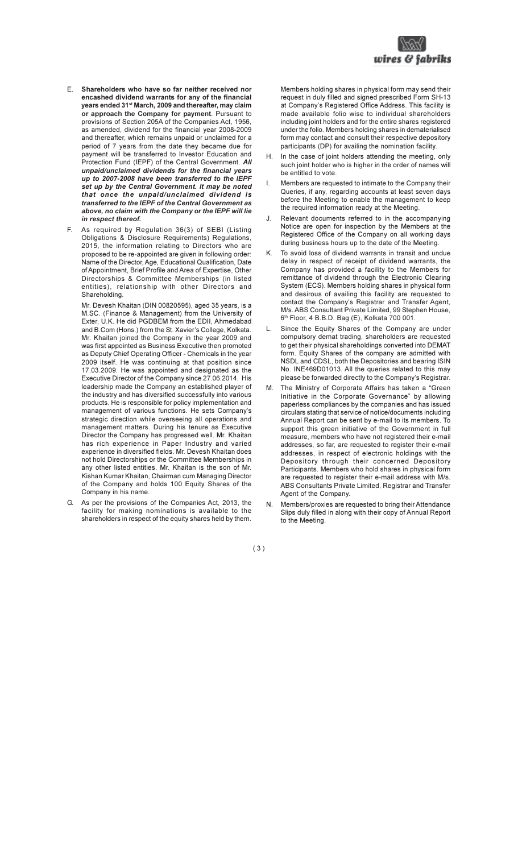

- E. Shareholders who have so far neither received nor encashed dividend warrants for any of the financial vears ended 31<sup>st</sup> March, 2009 and thereafter, may claim or approach the Company for payment. Pursuant to provisions of Section 205A of the Companies Act. 1956. as amended, dividend for the financial year 2008-2009 and thereafter, which remains unpaid or unclaimed for a period of 7 years from the date they became due for payment will be transferred to Investor Education and Protection Fund (IEPF) of the Central Government. All unpaid/unclaimed dividends for the financial years up to 2007-2008 have been transferred to the IEPF set up by the Central Government. It may be noted that once the unpaid/unclaimed dividend is transferred to the IEPF of the Central Government as above, no claim with the Company or the IEPF will lie in respect thereof.
- F. As required by Requlation 36(3) of SEBI (Listing Obligations & Disclosure Requirements) Requlations, 2015, the information relating to Directors who are proposed to be re-appointed are given in following order: Name of the Director, Age, Educational Qualification, Date of Appointment. Brief Profile and Area of Expertise. Other Directorships & Committee Memberships (in listed entities), relationship with other Directors and Shareholding.

Mr. Devesh Khaitan (DIN 00820595), aged 35 years, is a M.SC. (Finance & Management) from the University of Exter, U.K. He did PGDBEM from the EDII. Ahmedabad and B.Com (Hons.) from the St. Xavier's College, Kolkata. Mr. Khaitan joined the Company in the year 2009 and was first appointed as Business Executive then promoted as Deputy Chief Operating Officer - Chemicals in the year 2009 itself. He was continuing at that position since 17.03.2009. He was appointed and designated as the Executive Director of the Company since 27.06.2014. His leadership made the Company an established player of the industry and has diversified successfully into various products. He is responsible for policy implementation and management of various functions. He sets Company's strategic direction while overseeing all operations and management matters. During his tenure as Executive Director the Company has progressed well. Mr. Khaitan has rich experience in Paper Industry and varied experience in diversified fields. Mr. Devesh Khaitan does not hold Directorships or the Committee Memberships in any other listed entities. Mr. Khaitan is the son of Mr. Kishan Kumar Khaitan, Chairman cum Managing Director of the Company and holds 100 Equity Shares of the Company in his name.

G. As per the provisions of the Companies Act, 2013, the facility for making nominations is available to the shareholders in respect of the equity shares held by them.

Members holding shares in physical form may send their request in duly filled and signed prescribed Form SH-13 at Company's Registered Office Address. This facility is made available folio wise to individual shareholders including joint holders and for the entire shares registered under the folio. Members holding shares in dematerialised form may contact and consult their respective depository participants (DP) for availing the nomination facility.

- In the case of joint holders attending the meeting, only H. such joint holder who is higher in the order of names will be entitled to vote.
- Members are requested to intimate to the Company their  $\mathbf{L}$ Queries, if any, regarding accounts at least seven days before the Meeting to enable the management to keep the required information ready at the Meeting.
- Relevant documents referred to in the accompanying  $\mathbf{I}$ Notice are open for inspection by the Members at the Registered Office of the Company on all working days during business hours up to the date of the Meeting.
- To avoid loss of dividend warrants in transit and undue K. delay in respect of receipt of dividend warrants, the Company has provided a facility to the Members for remittance of dividend through the Electronic Clearing System (ECS). Members holding shares in physical form and desirous of availing this facility are requested to contact the Company's Registrar and Transfer Agent, M/s. ABS Consultant Private Limited, 99 Stephen House. 6<sup>th</sup> Floor, 4 B.B.D. Bag (E), Kolkata 700 001.
- Since the Equity Shares of the Company are under L. compulsory demat trading, shareholders are requested to get their physical shareholdings converted into DEMAT form. Equity Shares of the company are admitted with NSDL and CDSL, both the Depositories and bearing ISIN No. INE469D01013. All the queries related to this may please be forwarded directly to the Company's Registrar.
- М. The Ministry of Corporate Affairs has taken a "Green" Initiative in the Corporate Governance" by allowing paperless compliances by the companies and has issued circulars stating that service of notice/documents including Annual Report can be sent by e-mail to its members. To support this green initiative of the Government in full measure, members who have not registered their e-mail addresses, so far, are requested to register their e-mail addresses, in respect of electronic holdings with the Depository through their concerned Depository Participants. Members who hold shares in physical form are requested to register their e-mail address with M/s. ABS Consultants Private Limited. Registrar and Transfer Agent of the Company.
- Members/proxies are requested to bring their Attendance N. Slips duly filled in along with their copy of Annual Report to the Meeting.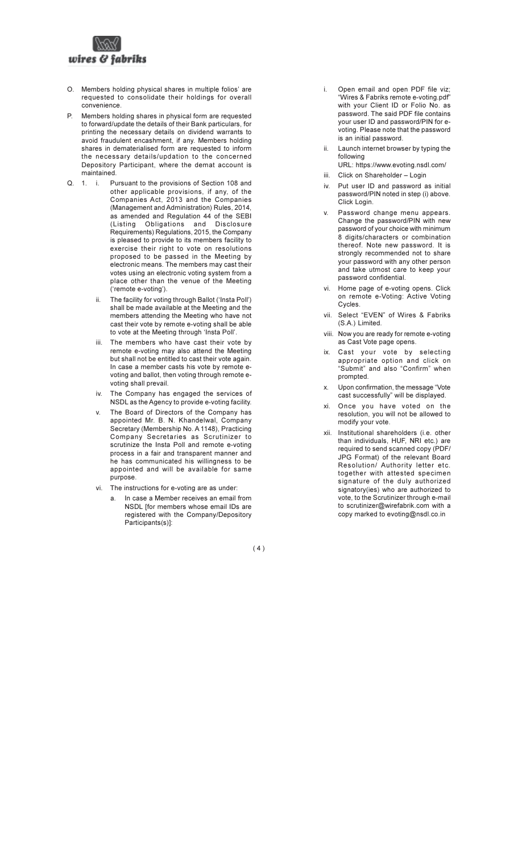

- O. Members holding physical shares in multiple folios' are requested to consolidate their holdings for overall convenience
- P. Members holding shares in physical form are requested to forward/update the details of their Bank particulars, for printing the necessary details on dividend warrants to avoid fraudulent encashment, if any, Members holding shares in dematerialised form are requested to inform the necessary details/updation to the concerned Depository Participant, where the demat account is maintained.
- $0 \t1$  i Pursuant to the provisions of Section 108 and other applicable provisions, if any, of the Companies Act. 2013 and the Companies (Management and Administration) Rules, 2014, as amended and Requiation 44 of the SEBI (Listing Obligations and Disclosure Requirements) Requlations, 2015, the Company is pleased to provide to its members facility to exercise their right to vote on resolutions proposed to be passed in the Meeting by electronic means. The members may cast their votes using an electronic voting system from a place other than the venue of the Meeting ('remote e-voting').
	- ii. The facility for voting through Ballot ('Insta Poll') shall be made available at the Meeting and the members attending the Meeting who have not cast their vote by remote e-voting shall be able to vote at the Meeting through 'Insta Poll'.
	- iii. The members who have cast their vote by remote e-voting may also attend the Meeting but shall not be entitled to cast their vote again. In case a member casts his vote by remote evoting and ballot, then voting through remote evoting shall prevail.
	- iv. The Company has engaged the services of NSDL as the Agency to provide e-voting facility.
	- The Board of Directors of the Company has V. appointed Mr. B. N. Khandelwal, Company Secretary (Membership No. A 1148), Practicing Company Secretaries as Scrutinizer to scrutinize the Insta Poll and remote e-voting process in a fair and transparent manner and he has communicated his willingness to be appointed and will be available for same purpose.
	- vi. The instructions for e-voting are as under:
		- In case a Member receives an email from  $\mathbf{a}$ NSDL Ifor members whose email IDs are registered with the Company/Depository Participants(s)]:
- $\mathbf{i}$ Open email and open PDF file viz: "Wires & Fabriks remote e-voting.pdf" with your Client ID or Folio No. as password. The said PDF file contains your user ID and password/PIN for evoting. Please note that the password is an initial password.
- ii. I aunch internet browser by typing the following
	- URL: https://www.evoting.nsdl.com/
- iii. Click on Shareholder Login
- iv. Put user ID and password as initial password/PIN noted in step (i) above. Click Login.
- $\mathsf{v}$ Password change menu appears. Change the password/PIN with new password of your choice with minimum 8 digits/characters or combination thereof. Note new password. It is strongly recommended not to share your password with any other person and take utmost care to keep your password confidential.
- vi. Home page of e-voting opens. Click on remote e-Voting: Active Voting Cycles.
- vii. Select "EVEN" of Wires & Fabriks (S.A.) Limited.
- viii. Now you are ready for remote e-voting as Cast Vote page opens.
- ix. Cast your vote by selecting appropriate option and click on "Submit" and also "Confirm" when prompted.
- Upon confirmation, the message "Vote **X.** cast successfully" will be displayed.
- xi. Once you have voted on the resolution, you will not be allowed to modify your vote.
- xii. Institutional shareholders (i.e. other than individuals. HUF, NRI etc.) are required to send scanned copy (PDF/ JPG Format) of the relevant Board Resolution/ Authority letter etc. together with attested specimen signature of the duly authorized signatory(ies) who are authorized to vote, to the Scrutinizer through e-mail to scrutinizer@wirefabrik.com with a copy marked to evoting@nsdl.co.in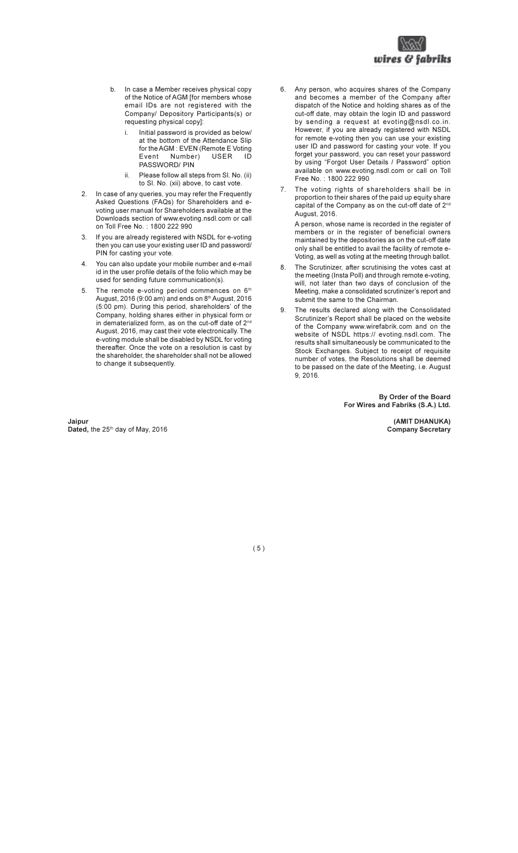

- b. In case a Member receives physical copy of the Notice of AGM Ifor members whose email IDs are not registered with the Company/ Depository Participants(s) or requesting physical copy]:
	- Initial password is provided as below/ i. at the bottom of the Attendance Slip for the AGM · FVFN (Remote F Voting **Event** Number) **USER** ID. PASSWORD/ PIN
	- ii -Please follow all steps from SI, No. (ii) to SI. No. (xii) above, to cast vote.
- 2. In case of any queries, you may refer the Frequently Asked Questions (FAQs) for Shareholders and evoting user manual for Shareholders available at the Downloads section of www.evoting.nsdl.com.or.call on Toll Free No.: 1800 222 990
- 3. If you are already registered with NSDL for e-voting then you can use your existing user ID and password/ PIN for casting your vote.
- 4. You can also update your mobile number and e-mail id in the user profile details of the folio which may be used for sending future communication(s).
- 5. The remote e-voting period commences on 6<sup>th</sup> August, 2016 (9:00 am) and ends on 8th August, 2016 (5:00 pm). During this period, shareholders' of the Company, holding shares either in physical form or in dematerialized form, as on the cut-off date of 2<sup>nd</sup> August, 2016, may cast their vote electronically. The e-voting module shall be disabled by NSDL for voting thereafter. Once the vote on a resolution is cast by the shareholder, the shareholder shall not be allowed to change it subsequently.
- 6. Any person, who acquires shares of the Company and becomes a member of the Company after dispatch of the Notice and holding shares as of the cut-off date may obtain the login ID and password by sending a request at evoting@nsdl.co.in. However, if you are already registered with NSDL for remote e-voting then you can use your existing user ID and password for casting your vote. If you forget your password, you can reset your password by using "Forgot User Details / Password" option available on www.evoting.nsdl.com or call on Toll Free No.: 1800 222 990
- 7. The voting rights of shareholders shall be in proportion to their shares of the paid up equity share capital of the Company as on the cut-off date of 2<sup>nd</sup> August, 2016.

A person, whose name is recorded in the register of members or in the register of beneficial owners maintained by the depositories as on the cut-off date only shall be entitled to avail the facility of remote e-Voting, as well as voting at the meeting through ballot.

- The Scrutinizer, after scrutinising the votes cast at  $\mathsf{R}$ the meeting (Insta Poll) and through remote e-voting, will, not later than two days of conclusion of the Meeting, make a consolidated scrutinizer's report and submit the same to the Chairman
- $\mathbf{q}$ The results declared along with the Consolidated Scrutinizer's Report shall be placed on the website of the Company www.wirefabrik.com and on the website of NSDL https:// evoting.nsdl.com. The results shall simultaneously be communicated to the Stock Exchanges. Subject to receipt of requisite number of votes, the Resolutions shall be deemed to be passed on the date of the Meeting, i.e. August 9.2016.

By Order of the Board For Wires and Fabriks (S.A.) Ltd.

> (AMIT DHANUKA) **Company Secretary**

Jaipur Dated, the 25<sup>th</sup> day of May, 2016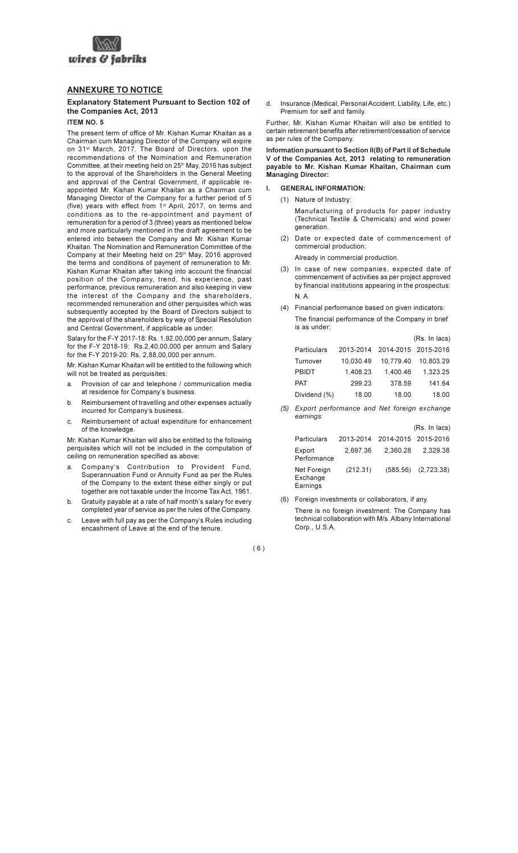

### **ANNEXURE TO NOTICE**

### **Explanatory Statement Pursuant to Section 102 of** the Companies Act. 2013

#### **ITEM NO 5**

The present term of office of Mr. Kishan Kumar Khaitan as a Chairman cum Managing Director of the Company will expire on 31<sup>st</sup> March, 2017. The Board of Directors, upon the recommendations of the Nomination and Remuneration Committee, at their meeting held on 25<sup>th</sup> May, 2016 has subject to the approval of the Shareholders in the General Meeting and approval of the Central Government, if applicable reappointed Mr. Kishan Kumar Khaitan as a Chairman cum Managing Director of the Company for a further period of 5 (five) years with effect from 1<sup>st</sup> April, 2017, on terms and conditions as to the re-appointment and payment of remuneration for a period of 3 (three) years as mentioned below and more particularly mentioned in the draft agreement to be entered into between the Company and Mr. Kishan Kumar Khaitan. The Nomination and Remuneration Committee of the Company at their Meeting held on 25<sup>th</sup> May, 2016 approved the terms and conditions of payment of remuneration to Mr. Kishan Kumar Khaitan after taking into account the financial position of the Company, trend, his experience, past performance, previous remuneration and also keeping in view the interest of the Company and the shareholders. recommended remuneration and other perquisites which was subsequently accepted by the Board of Directors subject to the approval of the shareholders by way of Special Resolution and Central Government, if applicable as under:

Salary for the F-Y 2017-18: Rs. 1,92,00,000 per annum, Salary for the F-Y 2018-19: Rs.2,40,00,000 per annum and Salary for the F-Y 2019-20: Rs. 2,88,00,000 per annum.

Mr. Kishan Kumar Khaitan will be entitled to the following which will not be treated as perquisites:

- Provision of car and telephone / communication media  $\mathsf{a}$ at residence for Company's business.
- Reimbursement of travelling and other expenses actually  $b<sub>1</sub>$ incurred for Company's business.
- Reimbursement of actual expenditure for enhancement  $\mathsf{C}$ of the knowledge.

Mr. Kishan Kumar Khaitan will also be entitled to the following perquisites which will not be included in the computation of ceiling on remuneration specified as above:

- Company's Contribution to Provident Fund,  $\mathbf{a}$ Superannuation Fund or Annuity Fund as per the Rules of the Company to the extent these either singly or put together are not taxable under the Income Tax Act, 1961.
- Gratuity payable at a rate of half month's salary for every  $h$ completed year of service as per the rules of the Company.
- Leave with full pay as per the Company's Rules including  $C<sub>1</sub>$ encashment of Leave at the end of the tenure.

d. Insurance (Medical, Personal Accident, Liability, Life, etc.) Premium for self and family.

Further, Mr. Kishan Kumar Khaitan will also be entitled to certain retirement benefits after retirement/cessation of service as per rules of the Company.

Information pursuant to Section II(B) of Part II of Schedule V of the Companies Act, 2013 relating to remuneration payable to Mr. Kishan Kumar Khaitan, Chairman cum **Managing Director:** 

#### **GENERAL INFORMATION:**  $\mathbf{I}$

(1) Nature of Industry:

Manufacturing of products for paper industry (Technical Textile & Chemicals) and wind power generation.

(2) Date or expected date of commencement of commercial production:

Already in commercial production.

- (3) In case of new companies, expected date of commencement of activities as per project approved by financial institutions appearing in the prospectus: N A
- (4) Financial performance based on given indicators:

The financial performance of the Company in brief is as under:

 $(D - \ln \ln \ln x)$ 

|                    |           |           | $(RS. III]$ 11 $R(S)$ |
|--------------------|-----------|-----------|-----------------------|
| <b>Particulars</b> | 2013-2014 |           | 2014-2015 2015-2016   |
| Turnover           | 10.030.49 | 10.779.40 | 10.803.29             |
| PBIDT              | 1.408.23  | 1.400.46  | 1.323.25              |
| <b>PAT</b>         | 299.23    | 378.59    | 141.64                |
| Dividend (%)       | 18.00     | 18.00     | 18.00                 |
|                    |           |           |                       |

(5) Export performance and Net foreign exchange earnings:

|                                     |           |                     | (RS. In lacs)           |
|-------------------------------------|-----------|---------------------|-------------------------|
| Particulars                         | 2013-2014 | 2014-2015 2015-2016 |                         |
| Export<br>Performance               | 2,697.36  | 2.360.28            | 2,329.38                |
| Net Foreign<br>Exchange<br>Earnings | (212.31)  |                     | $(585.56)$ $(2,723.38)$ |

(6) Foreign investments or collaborators, if any.

There is no foreign investment. The Company has technical collaboration with M/s. Albany International Corp., U.S.A.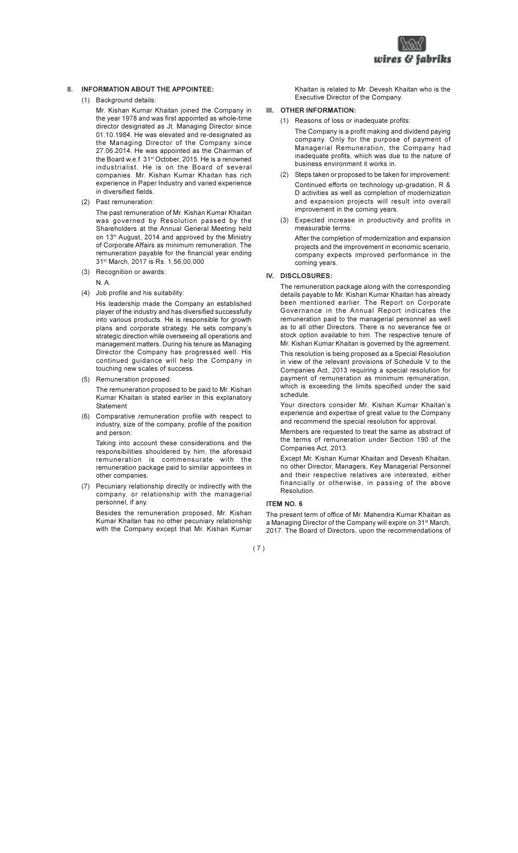

#### II. INFORMATION ABOUT THE APPOINTEE:

(1) Background details:

Mr. Kishan Kumar Khaitan joined the Company in the year 1978 and was first appointed as whole-time director designated as Jt. Managing Director since 01.10.1984. He was elevated and re-designated as the Managing Director of the Company since 27.06.2014. He was appointed as the Chairman of the Board w.e.f. 31<sup>st</sup> October, 2015. He is a renowned industrialist. He is on the Board of several companies Mr Kishan Kumar Khaitan has rich experience in Paper Industry and varied experience in diversified fields.

(2) Past remuneration:

The past remuneration of Mr. Kishan Kumar Khaitan was governed by Resolution passed by the Shareholders at the Annual General Meeting held on 13th August, 2014 and approved by the Ministry of Corporate Affairs as minimum remuneration. The remuneration pavable for the financial vear ending 31st March, 2017 is Rs. 1,56,00,000

(3) Recognition or awards:

N A

(4) Job profile and his suitability:

His leadership made the Company an established player of the industry and has diversified successfully into various products. He is responsible for growth plans and corporate strategy. He sets company's strategic direction while overseeing all operations and management matters. During his tenure as Managing Director the Company has progressed well. His continued guidance will help the Company in touching new scales of success.

(5) Remuneration proposed:

The remuneration proposed to be paid to Mr. Kishan Kumar Khaitan is stated earlier in this explanatory Statement

(6) Comparative remuneration profile with respect to industry, size of the company, profile of the position and person:

Taking into account these considerations and the responsibilities shouldered by him, the aforesaid remuneration is commensurate with the remuneration package paid to similar appointees in other companies.

(7) Pecuniary relationship directly or indirectly with the company, or relationship with the managerial personnel, if any.

Besides the remuneration proposed, Mr. Kishan Kumar Khaitan has no other pecuniary relationship with the Company except that Mr. Kishan Kumar Khaitan is related to Mr. Devesh Khaitan who is the Executive Director of the Company.

#### III OTHER INFORMATION:

- (1) Reasons of loss or inadequate profits:
	- The Company is a profit making and dividend paying company. Only for the purpose of payment of Managerial Remuneration, the Company had inadequate profits, which was due to the nature of business environment it works in.
- (2) Steps taken or proposed to be taken for improvement:

Continued efforts on technology up-gradation, R & D activities as well as completion of modernization and expansion projects will result into overall improvement in the coming years.

(3) Expected increase in productivity and profits in measurable terms:

After the completion of modernization and expansion projects and the improvement in economic scenario. company expects improved performance in the coming years.

### IV. DISCLOSURES:

The remuneration package along with the corresponding details payable to Mr. Kishan Kumar Khaitan has already been mentioned earlier. The Report on Corporate Governance in the Annual Report indicates the remuneration paid to the managerial personnel as well as to all other Directors. There is no severance fee or stock option available to him. The respective tenure of Mr. Kishan Kumar Khaitan is governed by the agreement.

This resolution is being proposed as a Special Resolution in view of the relevant provisions of Schedule V to the Companies Act, 2013 requiring a special resolution for payment of remuneration as minimum remuneration, which is exceeding the limits specified under the said schedule

Your directors consider Mr. Kishan Kumar Khaitan's experience and expertise of great value to the Company and recommend the special resolution for approval.

Members are requested to treat the same as abstract of the terms of remuneration under Section 190 of the Companies Act, 2013.

Except Mr. Kishan Kumar Khaitan and Devesh Khaitan, no other Director, Managers, Key Managerial Personnel and their respective relatives are interested, either financially or otherwise, in passing of the above Resolution.

### ITEM NO. 6

The present term of office of Mr. Mahendra Kumar Khaitan as a Managing Director of the Company will expire on 31<sup>st</sup> March, 2017. The Board of Directors, upon the recommendations of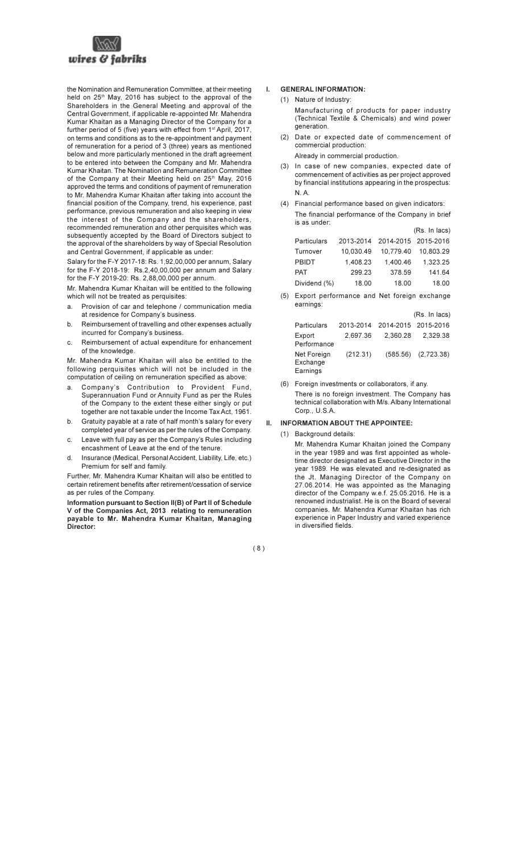

the Nomination and Remuneration Committee, at their meeting held on 25<sup>th</sup> May, 2016 has subject to the approval of the Shareholders in the General Meeting and approval of the Central Government if applicable re-appointed Mr Mahendra Kumar Khaitan as a Managing Director of the Company for a further period of 5 (five) years with effect from 1<sup>st</sup> April, 2017, on terms and conditions as to the re-appointment and payment of remuneration for a period of 3 (three) years as mentioned below and more particularly mentioned in the draft agreement to be entered into between the Company and Mr. Mahendra Kumar Khaitan, The Nomination and Remuneration Committee of the Company at their Meeting held on 25th May, 2016 approved the terms and conditions of payment of remuneration to Mr. Mahendra Kumar Khaitan after taking into account the financial position of the Company, trend, his experience, past performance, previous remuneration and also keeping in view the interest of the Company and the shareholders, recommended remuneration and other perquisites which was subsequently accepted by the Board of Directors subject to the approval of the shareholders by way of Special Resolution and Central Government, if applicable as under:

Salary for the F-Y 2017-18: Rs. 1,92,00,000 per annum, Salary for the F-Y 2018-19: Rs.2,40,00,000 per annum and Salary for the F-Y 2019-20: Rs. 2.88.00.000 per annum.

Mr. Mahendra Kumar Khaitan will be entitled to the following which will not be treated as perquisites:

- Provision of car and telephone / communication media  $\mathsf{a}$ at residence for Company's business.
- $h$ Reimbursement of travelling and other expenses actually incurred for Company's business.
- Reimbursement of actual expenditure for enhancement  $C_{1}$ of the knowledge.

Mr. Mahendra Kumar Khaitan will also be entitled to the following perguisites which will not be included in the computation of ceiling on remuneration specified as above:

- Company's Contribution to Provident Fund,  $a$ Superannuation Fund or Annuity Fund as per the Rules of the Company to the extent these either singly or put together are not taxable under the Income Tax Act, 1961.
- Gratuity payable at a rate of half month's salary for every  $h$ completed year of service as per the rules of the Company.
- Leave with full pay as per the Company's Rules including  $\mathsf{C}$ encashment of Leave at the end of the tenure.
- Insurance (Medical, Personal Accident, Liability, Life, etc.)  $\mathsf{d}$ Premium for self and family.

Further, Mr. Mahendra Kumar Khaitan will also be entitled to certain retirement benefits after retirement/cessation of service as per rules of the Company.

Information pursuant to Section II(B) of Part II of Schedule V of the Companies Act, 2013 relating to remuneration payable to Mr. Mahendra Kumar Khaitan, Managing Director:

#### $\mathbf{L}$ **GENERAL INFORMATION:**

- (1) Nature of Industry: Manufacturing of products for paper industry (Technical Textile & Chemicals) and wind power generation.
- (2) Date or expected date of commencement of commercial production:

Already in commercial production.

- (3) In case of new companies expected date of commencement of activities as per project approved by financial institutions appearing in the prospectus: N A
- (4) Financial performance based on given indicators:

The financial performance of the Company in brief is as under:  $(D - \ln \tan \theta)$ 

|                    |           |           | (RS. III 1865)      |
|--------------------|-----------|-----------|---------------------|
| <b>Particulars</b> | 2013-2014 |           | 2014-2015 2015-2016 |
| Turnover           | 10.030.49 | 10.779.40 | 10.803.29           |
| <b>PBIDT</b>       | 1.408.23  | 1.400.46  | 1,323.25            |
| <b>PAT</b>         | 299.23    | 378.59    | 141.64              |
| Dividend (%)       | 18.00     | 18.00     | 18.00               |

(5) Export performance and Net foreign exchange earnings:

|                                     |           |                     | (Rs. In lacs)           |
|-------------------------------------|-----------|---------------------|-------------------------|
| Particulars                         | 2013-2014 | 2014-2015 2015-2016 |                         |
| Export<br>Performance               | 2.697.36  | 2.360.28            | 2.329.38                |
| Net Foreign<br>Exchange<br>Earnings | (212.31)  |                     | $(585.56)$ $(2,723.38)$ |

(6) Foreign investments or collaborators, if any.

There is no foreign investment. The Company has technical collaboration with M/s. Albany International Corp., U.S.A.

### II. INFORMATION ABOUT THE APPOINTEE:

(1) Background details:

Mr. Mahendra Kumar Khaitan ioined the Company in the year 1989 and was first appointed as wholetime director designated as Executive Director in the year 1989. He was elevated and re-designated as the Jt. Managing Director of the Company on 27.06.2014. He was appointed as the Managing director of the Company w e f 25.05.2016. He is a renowned industrialist. He is on the Board of several companies. Mr. Mahendra Kumar Khaitan has rich experience in Paper Industry and varied experience in diversified fields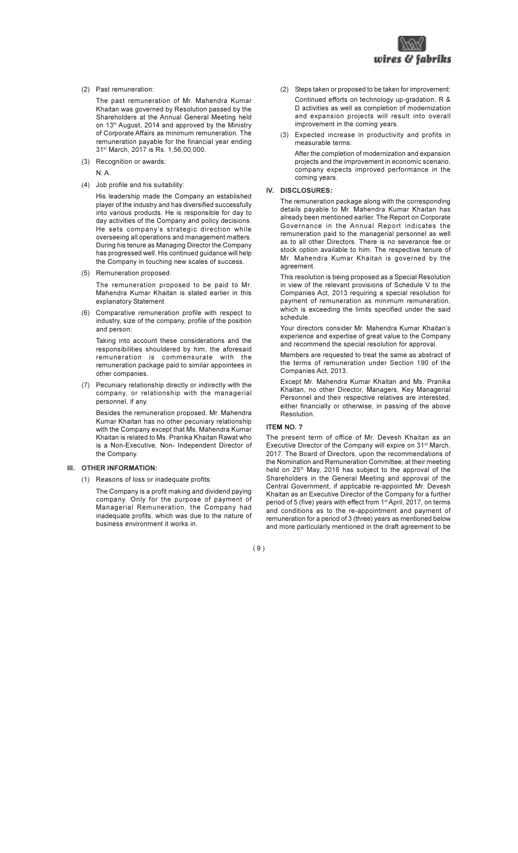

(2) Past remuneration:

The past remuneration of Mr. Mahendra Kumar Khaitan was governed by Resolution passed by the Shareholders at the Annual General Meeting held on 13th August, 2014 and approved by the Ministry of Corporate Affairs as minimum remuneration. The remuneration pavable for the financial year ending 31<sup>st</sup> March, 2017 is Rs. 1,56,00,000.

(3) Recognition or awards:

 $N. A.$ 

(4) Job profile and his suitability:

His leadership made the Company an established player of the industry and has diversified successfully into various products. He is responsible for day to day activities of the Company and policy decisions. He sets company's strategic direction while overseeing all operations and management matters. During his tenure as Managing Director the Company has progressed well. His continued guidance will help the Company in touching new scales of success.

(5) Remuneration proposed:

The remuneration proposed to be paid to Mr. Mahendra Kumar Khaitan is stated earlier in this explanatory Statement

(6) Comparative remuneration profile with respect to industry, size of the company, profile of the position and person:

Taking into account these considerations and the responsibilities shouldered by him, the aforesaid remuneration is commensurate with the remuneration package paid to similar appointees in other companies.

(7) Pecuniary relationship directly or indirectly with the company, or relationship with the managerial personnel. if anv.

Besides the remuneration proposed, Mr. Mahendra Kumar Khaitan has no other pecuniary relationship with the Company except that Ms. Mahendra Kumar Khaitan is related to Ms. Pranika Khaitan Rawat who is a Non-Executive, Non- Independent Director of the Company.

### III. OTHER INFORMATION:

(1) Reasons of loss or inadequate profits:

The Company is a profit making and dividend paying company. Only for the purpose of payment of Managerial Remuneration, the Company had inadequate profits, which was due to the nature of business environment it works in

(2) Steps taken or proposed to be taken for improvement:

Continued efforts on technology up-gradation, R & D activities as well as completion of modernization and expansion projects will result into overall improvement in the coming years.

(3) Expected increase in productivity and profits in measurable terms:

After the completion of modernization and expansion projects and the improvement in economic scenario, company expects improved performance in the coming years.

#### IV. DISCLOSURES:

The remuneration package along with the corresponding details payable to Mr. Mahendra Kumar Khaitan has already been mentioned earlier. The Report on Corporate Governance in the Annual Report indicates the remuneration paid to the managerial personnel as well as to all other Directors. There is no severance fee or stock option available to him. The respective tenure of Mr. Mahendra Kumar Khaitan is governed by the agreement.

This resolution is being proposed as a Special Resolution in view of the relevant provisions of Schedule V to the Companies Act, 2013 requiring a special resolution for payment of remuneration as minimum remuneration, which is exceeding the limits specified under the said schedule

Your directors consider Mr. Mahendra Kumar Khaitan's experience and expertise of great value to the Company and recommend the special resolution for approval.

Members are requested to treat the same as abstract of the terms of remuneration under Section 190 of the Companies Act. 2013.

Except Mr. Mahendra Kumar Khaitan and Ms. Pranika Khaitan, no other Director, Managers, Key Managerial Personnel and their respective relatives are interested. either financially or otherwise, in passing of the above Resolution.

### **ITEM NO 7**

The present term of office of Mr. Devesh Khaitan as an Executive Director of the Company will expire on 31<sup>st</sup> March, 2017. The Board of Directors, upon the recommendations of the Nomination and Remuneration Committee, at their meeting held on 25<sup>th</sup> May, 2016 has subject to the approval of the Shareholders in the General Meeting and approval of the Central Government, if applicable re-appointed Mr. Devesh Khaitan as an Executive Director of the Company for a further period of 5 (five) years with effect from 1<sup>st</sup> April, 2017, on terms and conditions as to the re-appointment and payment of remuneration for a period of 3 (three) years as mentioned below and more particularly mentioned in the draft agreement to be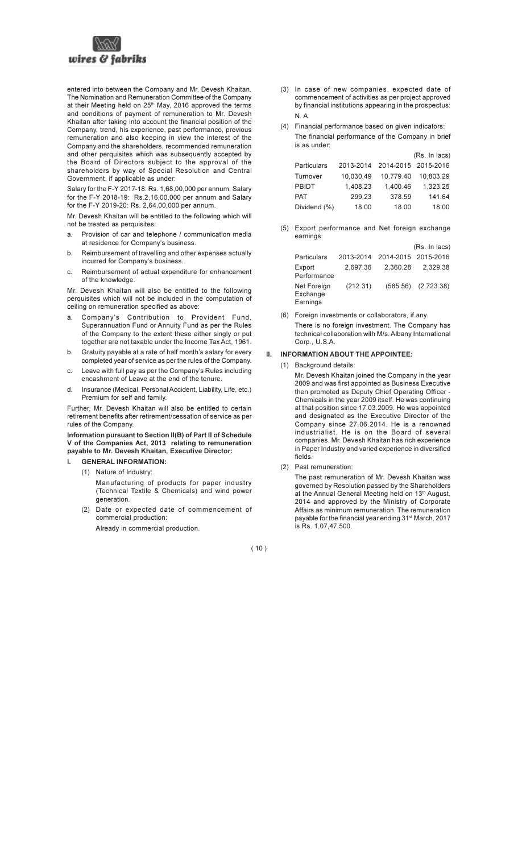

entered into between the Company and Mr. Devesh Khaitan. The Nomination and Remuneration Committee of the Company at their Meeting held on 25<sup>th</sup> May, 2016 approved the terms and conditions of payment of remuneration to Mr. Devesh Khaitan after taking into account the financial position of the Company, trend, his experience, past performance, previous remuneration and also keeping in view the interest of the Company and the shareholders, recommended remuneration and other perquisites which was subsequently accepted by the Board of Directors subject to the approval of the shareholders by way of Special Resolution and Central Government. if applicable as under:

Salary for the F-Y 2017-18: Rs. 1,68,00,000 per annum, Salary for the F-Y 2018-19: Rs.2,16,00,000 per annum and Salary for the F-Y 2019-20: Rs. 2,64,00,000 per annum.

Mr. Devesh Khaitan will be entitled to the following which will not be treated as perquisites:

- Provision of car and telephone / communication media  $\mathbf{a}$ at residence for Company's business.
- Reimbursement of travelling and other expenses actually  $h$ incurred for Company's business.
- Reimbursement of actual expenditure for enhancement  $\mathsf{C}$ of the knowledge.

Mr. Devesh Khaitan will also be entitled to the following perquisites which will not be included in the computation of ceiling on remuneration specified as above:

- Company's Contribution to Provident Fund.  $\mathsf{a}$ Superannuation Fund or Annuity Fund as per the Rules of the Company to the extent these either singly or put together are not taxable under the Income Tax Act. 1961.
- Gratuity payable at a rate of half month's salary for every  $h$ completed year of service as per the rules of the Company.
- Leave with full pay as per the Company's Rules including  $\mathsf{C}$ encashment of Leave at the end of the tenure.
- Insurance (Medical, Personal Accident, Liability, Life, etc.)  $\mathsf{d}$ Premium for self and family.

Further, Mr. Devesh Khaitan will also be entitled to certain retirement benefits after retirement/cessation of service as per rules of the Company.

Information pursuant to Section II(B) of Part II of Schedule V of the Companies Act, 2013 relating to remuneration payable to Mr. Devesh Khaitan, Executive Director:

#### **GENERAL INFORMATION:** L.

(1) Nature of Industry:

Manufacturing of products for paper industry (Technical Textile & Chemicals) and wind power generation.

(2) Date or expected date of commencement of commercial production:

Already in commercial production.

- (3) In case of new companies, expected date of commencement of activities as per project approved by financial institutions appearing in the prospectus:  $N. A.$
- (4) Financial performance based on given indicators: The financial performance of the Company in brief is as under:

|                    |           |                     | (Rs. In lacs) |
|--------------------|-----------|---------------------|---------------|
| <b>Particulars</b> | 2013-2014 | 2014-2015 2015-2016 |               |
| Turnover           | 10.030.49 | 10.779.40           | 10.803.29     |
| PBIDT              | 1.408.23  | 1.400.46            | 1.323.25      |
| <b>PAT</b>         | 299.23    | 378.59              | 141.64        |
| Dividend (%)       | 18.00     | 18.00               | 18.00         |

(5) Export performance and Net foreign exchange earnings:  $(D - 1)$ 

|                                     |           |                     | (RS. IN RICS)           |
|-------------------------------------|-----------|---------------------|-------------------------|
| Particulars                         | 2013-2014 | 2014-2015 2015-2016 |                         |
| Export<br>Performance               | 2,697.36  |                     | 2.360.28 2.329.38       |
| Net Foreign<br>Exchange<br>Earnings | (212.31)  |                     | $(585.56)$ $(2,723.38)$ |

(6) Foreign investments or collaborators, if any There is no foreign investment. The Company has technical collaboration with M/s. Albany International Corp., U.S.A.

#### $II.$ **INFORMATION ABOUT THE APPOINTEE:**

(1) Background details:

Mr. Devesh Khaitan joined the Company in the year 2009 and was first appointed as Business Executive then promoted as Deputy Chief Operating Officer -Chemicals in the year 2009 itself. He was continuing at that position since 17.03.2009. He was appointed and designated as the Executive Director of the Company since 27.06.2014. He is a renowned industrialist. He is on the Board of several companies. Mr. Devesh Khaitan has rich experience in Paper Industry and varied experience in diversified fields.

(2) Past remuneration:

The past remuneration of Mr. Devesh Khaitan was governed by Resolution passed by the Shareholders at the Annual General Meeting held on 13th August, 2014 and approved by the Ministry of Corporate Affairs as minimum remuneration. The remuneration payable for the financial year ending 31<sup>st</sup> March, 2017 is Rs. 1.07.47.500.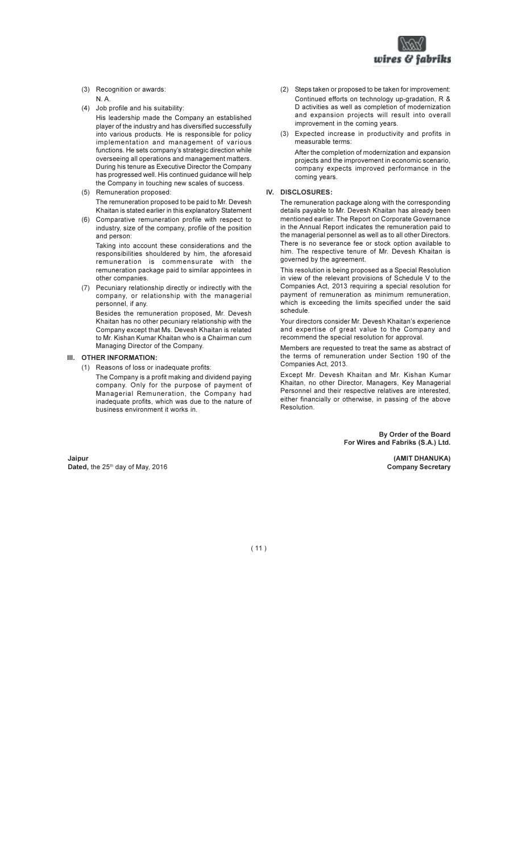

- (3) Recognition or awards:  $N. A.$
- (4) Job profile and his suitability:

His leadership made the Company an established player of the industry and has diversified successfully into various products. He is responsible for policy implementation and management of various functions. He sets company's strategic direction while overseeing all operations and management matters. During his tenure as Executive Director the Company has progressed well. His continued guidance will help the Company in touching new scales of success.

- (5) Remuneration proposed: The remuneration proposed to be paid to Mr. Devesh Khaitan is stated earlier in this explanatory Statement
- (6) Comparative remuneration profile with respect to industry, size of the company, profile of the position and person:

Taking into account these considerations and the responsibilities shouldered by him, the aforesaid remuneration is commensurate with the remuneration package paid to similar appointees in other companies.

(7) Pecuniary relationship directly or indirectly with the company, or relationship with the managerial personnel, if any.

Besides the remuneration proposed. Mr. Devesh Khaitan has no other pecuniary relationship with the Company except that Ms. Devesh Khaitan is related to Mr. Kishan Kumar Khaitan who is a Chairman cum Managing Director of the Company.

#### III. OTHER INFORMATION:

(1) Reasons of loss or inadequate profits:

The Company is a profit making and dividend paying company. Only for the purpose of payment of Managerial Remuneration, the Company had inadequate profits, which was due to the nature of business environment it works in

- (2) Steps taken or proposed to be taken for improvement: Continued efforts on technology up-gradation, R & D activities as well as completion of modernization and expansion projects will result into overall improvement in the coming years.
- (3) Expected increase in productivity and profits in measurable terms:

After the completion of modernization and expansion projects and the improvement in economic scenario. company expects improved performance in the coming years.

#### IV. DISCLOSURES:

The remuneration package along with the corresponding details payable to Mr. Devesh Khaitan has already been mentioned earlier. The Report on Corporate Governance in the Annual Report indicates the remuneration paid to the managerial personnel as well as to all other Directors. There is no severance fee or stock option available to him. The respective tenure of Mr. Devesh Khaitan is governed by the agreement.

This resolution is being proposed as a Special Resolution in view of the relevant provisions of Schedule V to the Companies Act, 2013 requiring a special resolution for payment of remuneration as minimum remuneration. which is exceeding the limits specified under the said schedule

Your directors consider Mr. Devesh Khaitan's experience and expertise of great value to the Company and recommend the special resolution for approval.

Members are requested to treat the same as abstract of the terms of remuneration under Section 190 of the Companies Act. 2013.

Except Mr. Devesh Khaitan and Mr. Kishan Kumar Khaitan, no other Director, Managers, Key Managerial Personnel and their respective relatives are interested, either financially or otherwise, in passing of the above Resolution.

> By Order of the Board For Wires and Fabriks (S.A.) Ltd.

> > (AMIT DHANUKA) **Company Secretary**

Jaipur Dated, the 25th day of May, 2016